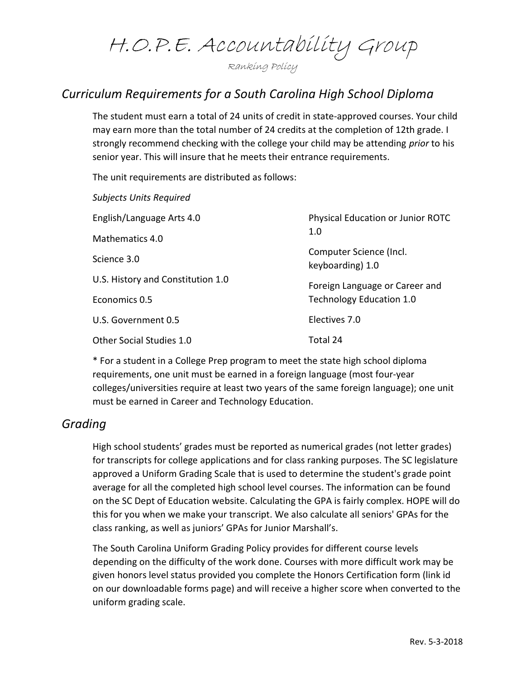# H.O.P.E. Accountability Group

Ranking Policy

# Curriculum Requirements for a South Carolina High School Diploma

The student must earn a total of 24 units of credit in state-approved courses. Your child may earn more than the total number of 24 credits at the completion of 12th grade. I strongly recommend checking with the college your child may be attending prior to his senior year. This will insure that he meets their entrance requirements.

The unit requirements are distributed as follows:

| <b>Subjects Units Required</b>    |                                             |
|-----------------------------------|---------------------------------------------|
| English/Language Arts 4.0         | Physical Education or Junior ROTC<br>1.0    |
| Mathematics 4.0                   |                                             |
| Science 3.0                       | Computer Science (Incl.<br>keyboarding) 1.0 |
| U.S. History and Constitution 1.0 | Foreign Language or Career and              |
| Economics 0.5                     | <b>Technology Education 1.0</b>             |
| U.S. Government 0.5               | Electives 7.0                               |
| Other Social Studies 1.0          | Total 24                                    |

\* For a student in a College Prep program to meet the state high school diploma requirements, one unit must be earned in a foreign language (most four-year colleges/universities require at least two years of the same foreign language); one unit must be earned in Career and Technology Education.

#### Grading

High school students' grades must be reported as numerical grades (not letter grades) for transcripts for college applications and for class ranking purposes. The SC legislature approved a Uniform Grading Scale that is used to determine the student's grade point average for all the completed high school level courses. The information can be found on the SC Dept of Education website. Calculating the GPA is fairly complex. HOPE will do this for you when we make your transcript. We also calculate all seniors' GPAs for the class ranking, as well as juniors' GPAs for Junior Marshall's.

The South Carolina Uniform Grading Policy provides for different course levels depending on the difficulty of the work done. Courses with more difficult work may be given honors level status provided you complete the Honors Certification form (link id on our downloadable forms page) and will receive a higher score when converted to the uniform grading scale.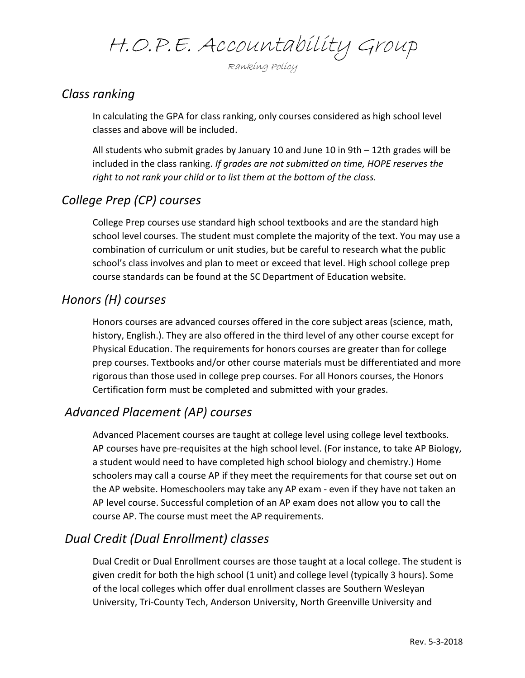H.O.P.E. Accountability Group

Ranking Policy

## Class ranking

In calculating the GPA for class ranking, only courses considered as high school level classes and above will be included.

All students who submit grades by January 10 and June 10 in 9th – 12th grades will be included in the class ranking. If grades are not submitted on time, HOPE reserves the right to not rank your child or to list them at the bottom of the class.

## College Prep (CP) courses

College Prep courses use standard high school textbooks and are the standard high school level courses. The student must complete the majority of the text. You may use a combination of curriculum or unit studies, but be careful to research what the public school's class involves and plan to meet or exceed that level. High school college prep course standards can be found at the SC Department of Education website.

## Honors (H) courses

Honors courses are advanced courses offered in the core subject areas (science, math, history, English.). They are also offered in the third level of any other course except for Physical Education. The requirements for honors courses are greater than for college prep courses. Textbooks and/or other course materials must be differentiated and more rigorous than those used in college prep courses. For all Honors courses, the Honors Certification form must be completed and submitted with your grades.

## Advanced Placement (AP) courses

Advanced Placement courses are taught at college level using college level textbooks. AP courses have pre-requisites at the high school level. (For instance, to take AP Biology, a student would need to have completed high school biology and chemistry.) Home schoolers may call a course AP if they meet the requirements for that course set out on the AP website. Homeschoolers may take any AP exam - even if they have not taken an AP level course. Successful completion of an AP exam does not allow you to call the course AP. The course must meet the AP requirements.

#### Dual Credit (Dual Enrollment) classes

Dual Credit or Dual Enrollment courses are those taught at a local college. The student is given credit for both the high school (1 unit) and college level (typically 3 hours). Some of the local colleges which offer dual enrollment classes are Southern Wesleyan University, Tri-County Tech, Anderson University, North Greenville University and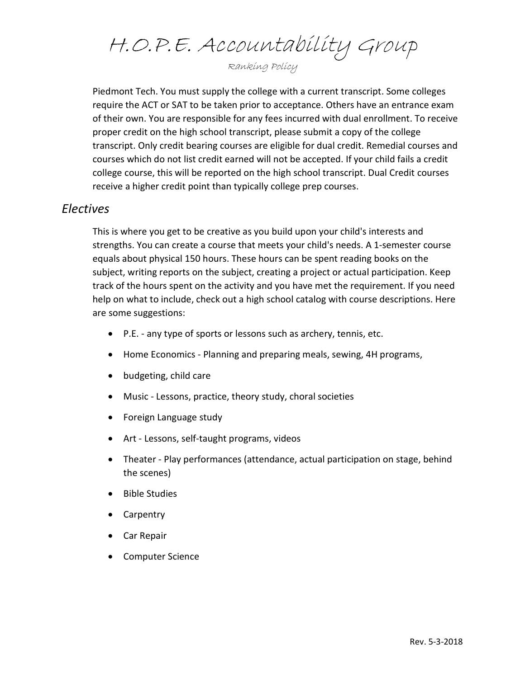H.O.P.E. Accountability Group

Ranking Policy

Piedmont Tech. You must supply the college with a current transcript. Some colleges require the ACT or SAT to be taken prior to acceptance. Others have an entrance exam of their own. You are responsible for any fees incurred with dual enrollment. To receive proper credit on the high school transcript, please submit a copy of the college transcript. Only credit bearing courses are eligible for dual credit. Remedial courses and courses which do not list credit earned will not be accepted. If your child fails a credit college course, this will be reported on the high school transcript. Dual Credit courses receive a higher credit point than typically college prep courses.

#### Electives

This is where you get to be creative as you build upon your child's interests and strengths. You can create a course that meets your child's needs. A 1-semester course equals about physical 150 hours. These hours can be spent reading books on the subject, writing reports on the subject, creating a project or actual participation. Keep track of the hours spent on the activity and you have met the requirement. If you need help on what to include, check out a high school catalog with course descriptions. Here are some suggestions:

- P.E. any type of sports or lessons such as archery, tennis, etc.
- Home Economics Planning and preparing meals, sewing, 4H programs,
- budgeting, child care
- Music Lessons, practice, theory study, choral societies
- Foreign Language study
- Art Lessons, self-taught programs, videos
- Theater Play performances (attendance, actual participation on stage, behind the scenes)
- Bible Studies
- Carpentry
- Car Repair
- Computer Science